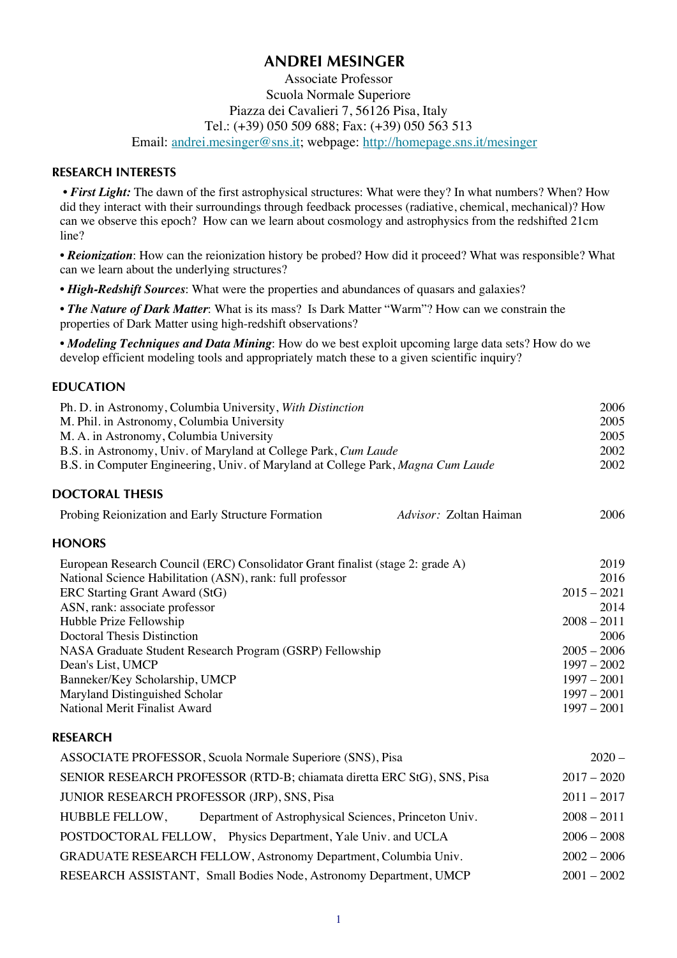# **ANDREI MESINGER**

# Associate Professor Scuola Normale Superiore Piazza dei Cavalieri 7, 56126 Pisa, Italy Tel.: (+39) 050 509 688; Fax: (+39) 050 563 513 Email: andrei.mesinger@sns.it; webpage: http://homepage.sns.it/mesinger

#### **RESEARCH INTERESTS**

• First Light: The dawn of the first astrophysical structures: What were they? In what numbers? When? How did they interact with their surroundings through feedback processes (radiative, chemical, mechanical)? How can we observe this epoch? How can we learn about cosmology and astrophysics from the redshifted 21cm line?

*• Reionization*: How can the reionization history be probed? How did it proceed? What was responsible? What can we learn about the underlying structures?

• *High-Redshift Sources*: What were the properties and abundances of quasars and galaxies?

*• The Nature of Dark Matter*: What is its mass? Is Dark Matter "Warm"? How can we constrain the properties of Dark Matter using high-redshift observations?

*• Modeling Techniques and Data Mining*: How do we best exploit upcoming large data sets? How do we develop efficient modeling tools and appropriately match these to a given scientific inquiry?

Ph. D. in Astronomy, Columbia University, *With Distinction* 2006

### **EDUCATION**

| M. Phil. in Astronomy, Columbia University                                       |                        | 2005          |
|----------------------------------------------------------------------------------|------------------------|---------------|
| M. A. in Astronomy, Columbia University                                          |                        | 2005          |
| B.S. in Astronomy, Univ. of Maryland at College Park, Cum Laude                  |                        | 2002          |
| B.S. in Computer Engineering, Univ. of Maryland at College Park, Magna Cum Laude |                        | 2002          |
| <b>DOCTORAL THESIS</b>                                                           |                        |               |
| Probing Reionization and Early Structure Formation                               | Advisor: Zoltan Haiman | 2006          |
| <b>HONORS</b>                                                                    |                        |               |
| European Research Council (ERC) Consolidator Grant finalist (stage 2: grade A)   |                        | 2019          |
| National Science Habilitation (ASN), rank: full professor                        |                        | 2016          |
| ERC Starting Grant Award (StG)                                                   |                        | $2015 - 2021$ |
| ASN, rank: associate professor                                                   |                        | 2014          |
| Hubble Prize Fellowship                                                          |                        | $2008 - 2011$ |
| <b>Doctoral Thesis Distinction</b>                                               |                        | 2006          |
| NASA Graduate Student Research Program (GSRP) Fellowship                         |                        | $2005 - 2006$ |
| Dean's List, UMCP                                                                |                        | $1997 - 2002$ |
| Banneker/Key Scholarship, UMCP                                                   |                        | $1997 - 2001$ |
| Maryland Distinguished Scholar                                                   |                        | $1997 - 2001$ |
| National Merit Finalist Award                                                    |                        | $1997 - 2001$ |
| <b>RESEARCH</b>                                                                  |                        |               |
| ASSOCIATE PROFESSOR, Scuola Normale Superiore (SNS), Pisa                        |                        | $2020 -$      |
| SENIOR RESEARCH PROFESSOR (RTD-B; chiamata diretta ERC StG), SNS, Pisa           |                        | $2017 - 2020$ |
| JUNIOR RESEARCH PROFESSOR (JRP), SNS, Pisa                                       |                        | $2011 - 2017$ |
| <b>HUBBLE FELLOW,</b><br>Department of Astrophysical Sciences, Princeton Univ.   |                        | $2008 - 2011$ |
| POSTDOCTORAL FELLOW, Physics Department, Yale Univ. and UCLA                     |                        | $2006 - 2008$ |
| GRADUATE RESEARCH FELLOW, Astronomy Department, Columbia Univ.                   |                        | $2002 - 2006$ |
| RESEARCH ASSISTANT, Small Bodies Node, Astronomy Department, UMCP                |                        | $2001 - 2002$ |
|                                                                                  |                        |               |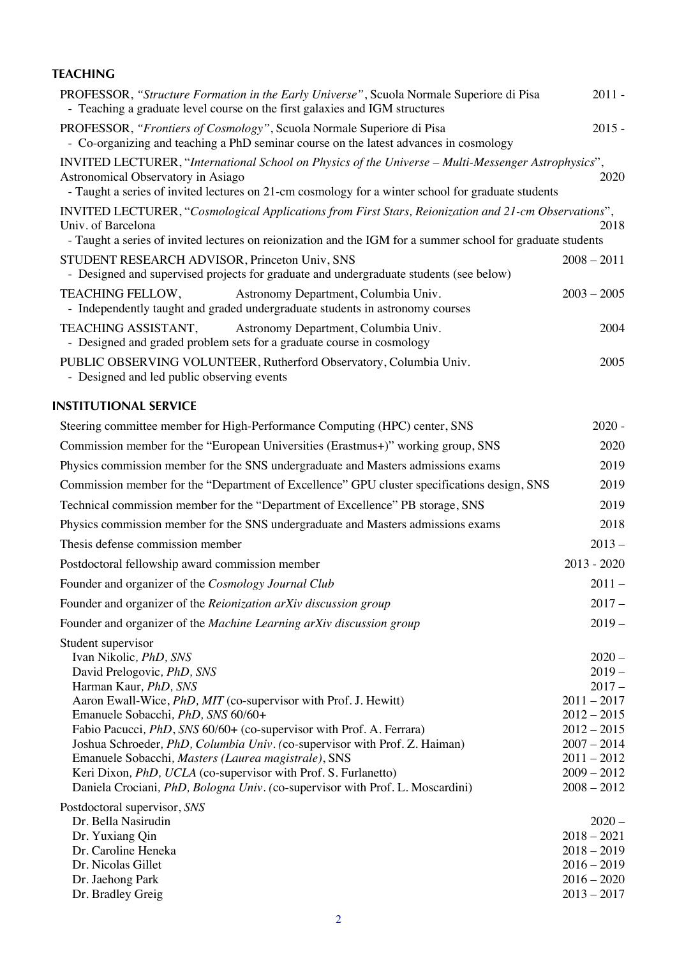# **TEACHING**

| PROFESSOR, "Structure Formation in the Early Universe", Scuola Normale Superiore di Pisa<br>- Teaching a graduate level course on the first galaxies and IGM structures                                                                         | $2011 -$      |
|-------------------------------------------------------------------------------------------------------------------------------------------------------------------------------------------------------------------------------------------------|---------------|
| PROFESSOR, "Frontiers of Cosmology", Scuola Normale Superiore di Pisa<br>- Co-organizing and teaching a PhD seminar course on the latest advances in cosmology                                                                                  | $2015 -$      |
| INVITED LECTURER, "International School on Physics of the Universe - Multi-Messenger Astrophysics",<br>Astronomical Observatory in Asiago<br>- Taught a series of invited lectures on 21-cm cosmology for a winter school for graduate students | 2020          |
| INVITED LECTURER, "Cosmological Applications from First Stars, Reionization and 21-cm Observations",<br>Univ. of Barcelona<br>- Taught a series of invited lectures on reionization and the IGM for a summer school for graduate students       | 2018          |
| STUDENT RESEARCH ADVISOR, Princeton Univ, SNS<br>- Designed and supervised projects for graduate and undergraduate students (see below)                                                                                                         | $2008 - 2011$ |
| TEACHING FELLOW,<br>Astronomy Department, Columbia Univ.<br>- Independently taught and graded undergraduate students in astronomy courses                                                                                                       | $2003 - 2005$ |
| TEACHING ASSISTANT,<br>Astronomy Department, Columbia Univ.<br>- Designed and graded problem sets for a graduate course in cosmology                                                                                                            | 2004          |
| PUBLIC OBSERVING VOLUNTEER, Rutherford Observatory, Columbia Univ.<br>- Designed and led public observing events                                                                                                                                | 2005          |

# **INSTITUTIONAL SERVICE**

| Steering committee member for High-Performance Computing (HPC) center, SNS                                                                                                                                                                                                                                                                                                                                                                                                                                                                                                                  |                                                                                                                                                         |
|---------------------------------------------------------------------------------------------------------------------------------------------------------------------------------------------------------------------------------------------------------------------------------------------------------------------------------------------------------------------------------------------------------------------------------------------------------------------------------------------------------------------------------------------------------------------------------------------|---------------------------------------------------------------------------------------------------------------------------------------------------------|
| Commission member for the "European Universities (Erastmus+)" working group, SNS                                                                                                                                                                                                                                                                                                                                                                                                                                                                                                            | 2020                                                                                                                                                    |
| Physics commission member for the SNS undergraduate and Masters admissions exams                                                                                                                                                                                                                                                                                                                                                                                                                                                                                                            | 2019                                                                                                                                                    |
| Commission member for the "Department of Excellence" GPU cluster specifications design, SNS                                                                                                                                                                                                                                                                                                                                                                                                                                                                                                 | 2019                                                                                                                                                    |
| Technical commission member for the "Department of Excellence" PB storage, SNS                                                                                                                                                                                                                                                                                                                                                                                                                                                                                                              | 2019                                                                                                                                                    |
| Physics commission member for the SNS undergraduate and Masters admissions exams                                                                                                                                                                                                                                                                                                                                                                                                                                                                                                            | 2018                                                                                                                                                    |
| Thesis defense commission member                                                                                                                                                                                                                                                                                                                                                                                                                                                                                                                                                            | $2013 -$                                                                                                                                                |
| Postdoctoral fellowship award commission member                                                                                                                                                                                                                                                                                                                                                                                                                                                                                                                                             | $2013 - 2020$                                                                                                                                           |
| Founder and organizer of the Cosmology Journal Club                                                                                                                                                                                                                                                                                                                                                                                                                                                                                                                                         | $2011 -$                                                                                                                                                |
| Founder and organizer of the Reionization arXiv discussion group                                                                                                                                                                                                                                                                                                                                                                                                                                                                                                                            | $2017 -$                                                                                                                                                |
| Founder and organizer of the Machine Learning arXiv discussion group                                                                                                                                                                                                                                                                                                                                                                                                                                                                                                                        | $2019 -$                                                                                                                                                |
| Student supervisor<br>Ivan Nikolic, PhD, SNS<br>David Prelogovic, PhD, SNS<br>Harman Kaur, PhD, SNS<br>Aaron Ewall-Wice, <i>PhD</i> , <i>MIT</i> (co-supervisor with Prof. J. Hewitt)<br>Emanuele Sobacchi, PhD, SNS 60/60+<br>Fabio Pacucci, PhD, SNS 60/60+ (co-supervisor with Prof. A. Ferrara)<br>Joshua Schroeder, PhD, Columbia Univ. (co-supervisor with Prof. Z. Haiman)<br>Emanuele Sobacchi, Masters (Laurea magistrale), SNS<br>Keri Dixon, PhD, UCLA (co-supervisor with Prof. S. Furlanetto)<br>Daniela Crociani, PhD, Bologna Univ. (co-supervisor with Prof. L. Moscardini) | $2020 -$<br>$2019 -$<br>$2017 -$<br>$2011 - 2017$<br>$2012 - 2015$<br>$2012 - 2015$<br>$2007 - 2014$<br>$2011 - 2012$<br>$2009 - 2012$<br>$2008 - 2012$ |
| Postdoctoral supervisor, SNS<br>Dr. Bella Nasirudin<br>Dr. Yuxiang Qin<br>Dr. Caroline Heneka<br>Dr. Nicolas Gillet<br>Dr. Jaehong Park<br>Dr. Bradley Greig                                                                                                                                                                                                                                                                                                                                                                                                                                | $2020 -$<br>$2018 - 2021$<br>$2018 - 2019$<br>$2016 - 2019$<br>$2016 - 2020$<br>$2013 - 2017$                                                           |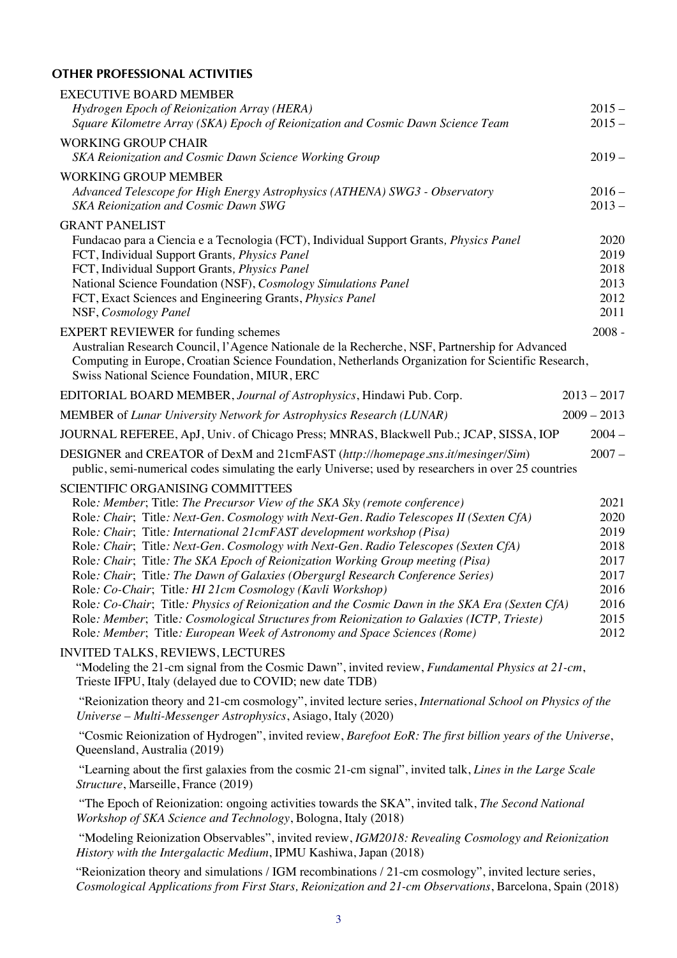# **OTHER PROFESSIONAL ACTIVITIES**

| <b>EXECUTIVE BOARD MEMBER</b><br>Hydrogen Epoch of Reionization Array (HERA)                                                                                                                                                                                                                                                                                                                                                                                                                                                                                                                                                                                                                                                                                                                                                                                                                      | $2015 -$                                                                     |
|---------------------------------------------------------------------------------------------------------------------------------------------------------------------------------------------------------------------------------------------------------------------------------------------------------------------------------------------------------------------------------------------------------------------------------------------------------------------------------------------------------------------------------------------------------------------------------------------------------------------------------------------------------------------------------------------------------------------------------------------------------------------------------------------------------------------------------------------------------------------------------------------------|------------------------------------------------------------------------------|
| Square Kilometre Array (SKA) Epoch of Reionization and Cosmic Dawn Science Team                                                                                                                                                                                                                                                                                                                                                                                                                                                                                                                                                                                                                                                                                                                                                                                                                   | $2015 -$                                                                     |
| <b>WORKING GROUP CHAIR</b><br>SKA Reionization and Cosmic Dawn Science Working Group                                                                                                                                                                                                                                                                                                                                                                                                                                                                                                                                                                                                                                                                                                                                                                                                              | $2019 -$                                                                     |
| <b>WORKING GROUP MEMBER</b><br>Advanced Telescope for High Energy Astrophysics (ATHENA) SWG3 - Observatory<br>SKA Reionization and Cosmic Dawn SWG                                                                                                                                                                                                                                                                                                                                                                                                                                                                                                                                                                                                                                                                                                                                                | $2016 -$<br>$2013 -$                                                         |
| <b>GRANT PANELIST</b><br>Fundacao para a Ciencia e a Tecnologia (FCT), Individual Support Grants, <i>Physics Panel</i><br>FCT, Individual Support Grants, Physics Panel<br>FCT, Individual Support Grants, Physics Panel<br>National Science Foundation (NSF), Cosmology Simulations Panel<br>FCT, Exact Sciences and Engineering Grants, Physics Panel<br>NSF, Cosmology Panel                                                                                                                                                                                                                                                                                                                                                                                                                                                                                                                   | 2020<br>2019<br>2018<br>2013<br>2012<br>2011                                 |
| <b>EXPERT REVIEWER</b> for funding schemes<br>Australian Research Council, l'Agence Nationale de la Recherche, NSF, Partnership for Advanced<br>Computing in Europe, Croatian Science Foundation, Netherlands Organization for Scientific Research,<br>Swiss National Science Foundation, MIUR, ERC                                                                                                                                                                                                                                                                                                                                                                                                                                                                                                                                                                                               | $2008 -$                                                                     |
| EDITORIAL BOARD MEMBER, Journal of Astrophysics, Hindawi Pub. Corp.                                                                                                                                                                                                                                                                                                                                                                                                                                                                                                                                                                                                                                                                                                                                                                                                                               | $2013 - 2017$                                                                |
| MEMBER of Lunar University Network for Astrophysics Research (LUNAR)                                                                                                                                                                                                                                                                                                                                                                                                                                                                                                                                                                                                                                                                                                                                                                                                                              | $2009 - 2013$                                                                |
| JOURNAL REFEREE, ApJ, Univ. of Chicago Press; MNRAS, Blackwell Pub.; JCAP, SISSA, IOP                                                                                                                                                                                                                                                                                                                                                                                                                                                                                                                                                                                                                                                                                                                                                                                                             | $2004 -$                                                                     |
| DESIGNER and CREATOR of DexM and 21cmFAST (http://homepage.sns.it/mesinger/Sim)<br>public, semi-numerical codes simulating the early Universe; used by researchers in over 25 countries                                                                                                                                                                                                                                                                                                                                                                                                                                                                                                                                                                                                                                                                                                           | $2007 -$                                                                     |
| <b>SCIENTIFIC ORGANISING COMMITTEES</b><br>Role: Member; Title: The Precursor View of the SKA Sky (remote conference)<br>Role: Chair; Title: Next-Gen. Cosmology with Next-Gen. Radio Telescopes II (Sexten CfA)<br>Role: Chair; Title: International 21cmFAST development workshop (Pisa)<br>Role: Chair; Title: Next-Gen. Cosmology with Next-Gen. Radio Telescopes (Sexten CfA)<br>Role: Chair; Title: The SKA Epoch of Reionization Working Group meeting (Pisa)<br>Role: Chair; Title: The Dawn of Galaxies (Obergurgl Research Conference Series)<br>Role: Co-Chair; Title: HI 21cm Cosmology (Kavli Workshop)<br>Role: Co-Chair; Title: Physics of Reionization and the Cosmic Dawn in the SKA Era (Sexten CfA)<br>Role: Member; Title: Cosmological Structures from Reionization to Galaxies (ICTP, Trieste)<br>Role: Member; Title: European Week of Astronomy and Space Sciences (Rome) | 2021<br>2020<br>2019<br>2018<br>2017<br>2017<br>2016<br>2016<br>2015<br>2012 |
| <b>INVITED TALKS, REVIEWS, LECTURES</b><br>"Modeling the 21-cm signal from the Cosmic Dawn", invited review, <i>Fundamental Physics at 21-cm</i> ,<br>Trieste IFPU, Italy (delayed due to COVID; new date TDB)                                                                                                                                                                                                                                                                                                                                                                                                                                                                                                                                                                                                                                                                                    |                                                                              |
| "Reionization theory and 21-cm cosmology", invited lecture series, International School on Physics of the<br>Universe – Multi-Messenger Astrophysics, Asiago, Italy (2020)                                                                                                                                                                                                                                                                                                                                                                                                                                                                                                                                                                                                                                                                                                                        |                                                                              |
| "Cosmic Reionization of Hydrogen", invited review, Barefoot EoR: The first billion years of the Universe,<br>Queensland, Australia (2019)                                                                                                                                                                                                                                                                                                                                                                                                                                                                                                                                                                                                                                                                                                                                                         |                                                                              |
| "Learning about the first galaxies from the cosmic 21-cm signal", invited talk, <i>Lines in the Large Scale</i><br>Structure, Marseille, France (2019)                                                                                                                                                                                                                                                                                                                                                                                                                                                                                                                                                                                                                                                                                                                                            |                                                                              |
| "The Epoch of Reionization: ongoing activities towards the SKA", invited talk, The Second National<br>Workshop of SKA Science and Technology, Bologna, Italy (2018)                                                                                                                                                                                                                                                                                                                                                                                                                                                                                                                                                                                                                                                                                                                               |                                                                              |
| "Modeling Reionization Observables", invited review, IGM2018: Revealing Cosmology and Reionization<br>History with the Intergalactic Medium, IPMU Kashiwa, Japan (2018)                                                                                                                                                                                                                                                                                                                                                                                                                                                                                                                                                                                                                                                                                                                           |                                                                              |
| "Reionization theory and simulations / IGM recombinations / 21-cm cosmology", invited lecture series,<br>Cosmological Applications from First Stars, Reionization and 21-cm Observations, Barcelona, Spain (2018)                                                                                                                                                                                                                                                                                                                                                                                                                                                                                                                                                                                                                                                                                 |                                                                              |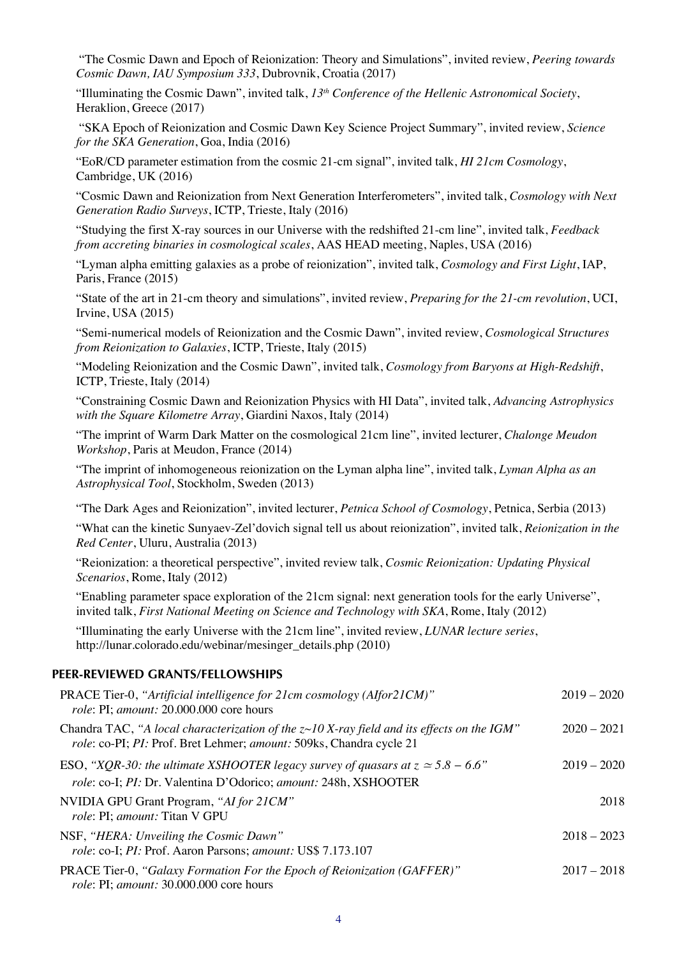"The Cosmic Dawn and Epoch of Reionization: Theory and Simulations", invited review, *Peering towards Cosmic Dawn, IAU Symposium 333*, Dubrovnik, Croatia (2017)

"Illuminating the Cosmic Dawn", invited talk, *13th Conference of the Hellenic Astronomical Society*, Heraklion, Greece (2017)

"SKA Epoch of Reionization and Cosmic Dawn Key Science Project Summary", invited review, *Science for the SKA Generation*, Goa, India (2016)

"EoR/CD parameter estimation from the cosmic 21-cm signal", invited talk, *HI 21cm Cosmology*, Cambridge, UK (2016)

"Cosmic Dawn and Reionization from Next Generation Interferometers", invited talk, *Cosmology with Next Generation Radio Surveys*, ICTP, Trieste, Italy (2016)

"Studying the first X-ray sources in our Universe with the redshifted 21-cm line", invited talk, *Feedback from accreting binaries in cosmological scales*, AAS HEAD meeting, Naples, USA (2016)

"Lyman alpha emitting galaxies as a probe of reionization", invited talk, *Cosmology and First Light*, IAP, Paris, France (2015)

"State of the art in 21-cm theory and simulations", invited review, *Preparing for the 21-cm revolution*, UCI, Irvine, USA (2015)

"Semi-numerical models of Reionization and the Cosmic Dawn", invited review, *Cosmological Structures from Reionization to Galaxies*, ICTP, Trieste, Italy (2015)

"Modeling Reionization and the Cosmic Dawn", invited talk, *Cosmology from Baryons at High-Redshift*, ICTP, Trieste, Italy (2014)

"Constraining Cosmic Dawn and Reionization Physics with HI Data", invited talk, *Advancing Astrophysics with the Square Kilometre Array*, Giardini Naxos, Italy (2014)

"The imprint of Warm Dark Matter on the cosmological 21cm line", invited lecturer, *Chalonge Meudon Workshop*, Paris at Meudon, France (2014)

"The imprint of inhomogeneous reionization on the Lyman alpha line", invited talk, *Lyman Alpha as an Astrophysical Tool*, Stockholm, Sweden (2013)

"The Dark Ages and Reionization", invited lecturer, *Petnica School of Cosmology*, Petnica, Serbia (2013)

"What can the kinetic Sunyaev-Zel'dovich signal tell us about reionization", invited talk, *Reionization in the Red Center*, Uluru, Australia (2013)

"Reionization: a theoretical perspective", invited review talk, *Cosmic Reionization: Updating Physical Scenarios*, Rome, Italy (2012)

"Enabling parameter space exploration of the 21cm signal: next generation tools for the early Universe", invited talk, *First National Meeting on Science and Technology with SKA*, Rome, Italy (2012)

"Illuminating the early Universe with the 21cm line", invited review, *LUNAR lecture series*, http://lunar.colorado.edu/webinar/mesinger\_details.php (2010)

## **PEER-REVIEWED GRANTS/FELLOWSHIPS**

| PRACE Tier-0, "Artificial intelligence for 21cm cosmology (Alfor21CM)"<br>role: PI; amount: 20.000.000 core hours                                                    | $2019 - 2020$ |
|----------------------------------------------------------------------------------------------------------------------------------------------------------------------|---------------|
| Chandra TAC, "A local characterization of the $z$ ~10 X-ray field and its effects on the IGM"<br>role: co-PI; PI: Prof. Bret Lehmer; amount: 509ks, Chandra cycle 21 | $2020 - 2021$ |
| ESO, "XQR-30: the ultimate XSHOOTER legacy survey of quasars at $z \approx 5.8 - 6.6$ "<br>role: co-I; PI: Dr. Valentina D'Odorico; amount: 248h, XSHOOTER           | $2019 - 2020$ |
| NVIDIA GPU Grant Program, "AI for 21CM"<br>role: PI; amount: Titan V GPU                                                                                             | 2018          |
| NSF, "HERA: Unveiling the Cosmic Dawn"<br>role: co-I; PI: Prof. Aaron Parsons; amount: US\$ 7.173.107                                                                | $2018 - 2023$ |
| PRACE Tier-0, "Galaxy Formation For the Epoch of Reionization (GAFFER)"<br><i>role: PI; amount: 30.000.000 core hours</i>                                            | $2017 - 2018$ |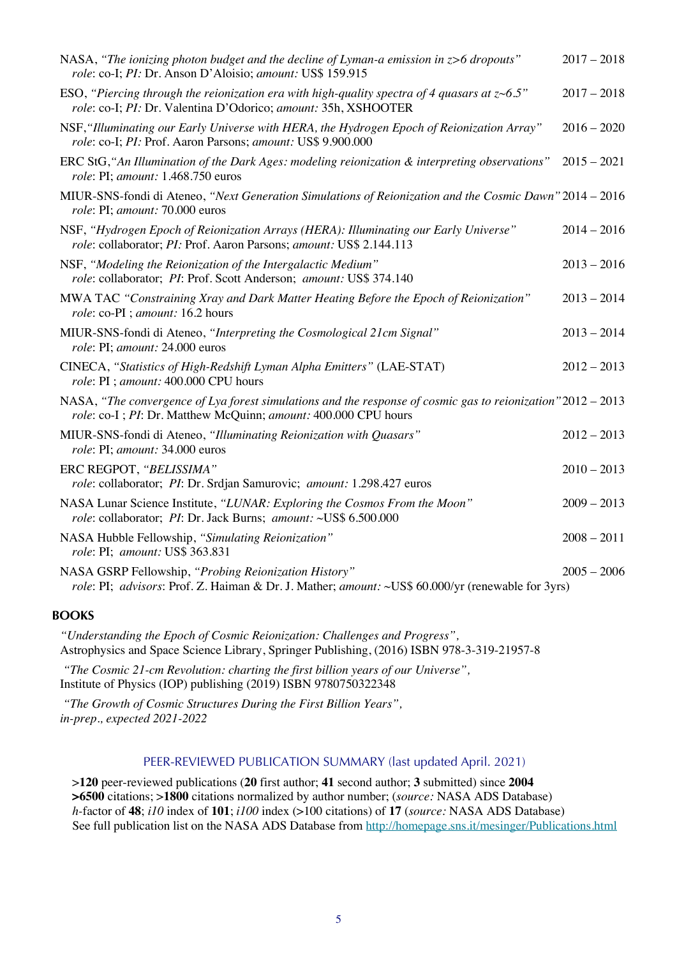| NASA, "The ionizing photon budget and the decline of Lyman-a emission in z>6 dropouts"<br>role: co-I; PI: Dr. Anson D'Aloisio; amount: US\$ 159.915                            | $2017 - 2018$ |
|--------------------------------------------------------------------------------------------------------------------------------------------------------------------------------|---------------|
| ESO, "Piercing through the reionization era with high-quality spectra of 4 quasars at $z$ ~6.5"<br>role: co-I; PI: Dr. Valentina D'Odorico; amount: 35h, XSHOOTER              | $2017 - 2018$ |
| NSF, "Illuminating our Early Universe with HERA, the Hydrogen Epoch of Reionization Array"<br>role: co-I; PI: Prof. Aaron Parsons; amount: US\$ 9.900.000                      | $2016 - 2020$ |
| ERC StG, "An Illumination of the Dark Ages: modeling reionization & interpreting observations"<br>role: PI; amount: 1.468.750 euros                                            | $2015 - 2021$ |
| MIUR-SNS-fondi di Ateneo, "Next Generation Simulations of Reionization and the Cosmic Dawn" 2014 - 2016<br>role: PI; amount: 70.000 euros                                      |               |
| NSF, "Hydrogen Epoch of Reionization Arrays (HERA): Illuminating our Early Universe"<br>role: collaborator; PI: Prof. Aaron Parsons; amount: US\$ 2.144.113                    | $2014 - 2016$ |
| NSF, "Modeling the Reionization of the Intergalactic Medium"<br>role: collaborator; PI: Prof. Scott Anderson; amount: US\$ 374.140                                             | $2013 - 2016$ |
| MWA TAC "Constraining Xray and Dark Matter Heating Before the Epoch of Reionization"<br>role: co-PI ; amount: 16.2 hours                                                       | $2013 - 2014$ |
| MIUR-SNS-fondi di Ateneo, "Interpreting the Cosmological 21cm Signal"<br>role: PI; amount: 24.000 euros                                                                        | $2013 - 2014$ |
| CINECA, "Statistics of High-Redshift Lyman Alpha Emitters" (LAE-STAT)<br>role: PI ; amount: 400.000 CPU hours                                                                  | $2012 - 2013$ |
| NASA, "The convergence of Lya forest simulations and the response of cosmic gas to reionization" 2012 – 2013<br>role: co-I; PI: Dr. Matthew McQuinn; amount: 400.000 CPU hours |               |
| MIUR-SNS-fondi di Ateneo, "Illuminating Reionization with Quasars"<br>role: PI; amount: 34.000 euros                                                                           | $2012 - 2013$ |
| ERC REGPOT, "BELISSIMA"<br>role: collaborator; PI: Dr. Srdjan Samurovic; amount: 1.298.427 euros                                                                               | $2010 - 2013$ |
| NASA Lunar Science Institute, "LUNAR: Exploring the Cosmos From the Moon"<br>role: collaborator; PI: Dr. Jack Burns; amount: ~US\$ 6.500.000                                   | $2009 - 2013$ |
| NASA Hubble Fellowship, "Simulating Reionization"<br>role: PI; amount: US\$ 363.831                                                                                            | $2008 - 2011$ |
| NASA GSRP Fellowship, "Probing Reionization History"<br>role: PI; advisors: Prof. Z. Haiman & Dr. J. Mather; amount: ~US\$ 60.000/yr (renewable for 3yrs)                      | $2005 - 2006$ |

#### **BOOKS**

*"Understanding the Epoch of Cosmic Reionization: Challenges and Progress",* Astrophysics and Space Science Library, Springer Publishing, (2016) ISBN 978-3-319-21957-8

*"The Cosmic 21-cm Revolution: charting the first billion years of our Universe",* Institute of Physics (IOP) publishing (2019) ISBN 9780750322348

*"The Growth of Cosmic Structures During the First Billion Years", in-prep., expected 2021-2022*

#### PEER-REVIEWED PUBLICATION SUMMARY (last updated April. 2021)

>**120** peer-reviewed publications (**20** first author; **41** second author; **3** submitted) since **2004 >6500** citations; >**1800** citations normalized by author number; (*source:* NASA ADS Database) *h-*factor of **48**; *i10* index of **101**; *i100* index (>100 citations) of **17** (*source:* NASA ADS Database) See full publication list on the NASA ADS Database from http://homepage.sns.it/mesinger/Publications.html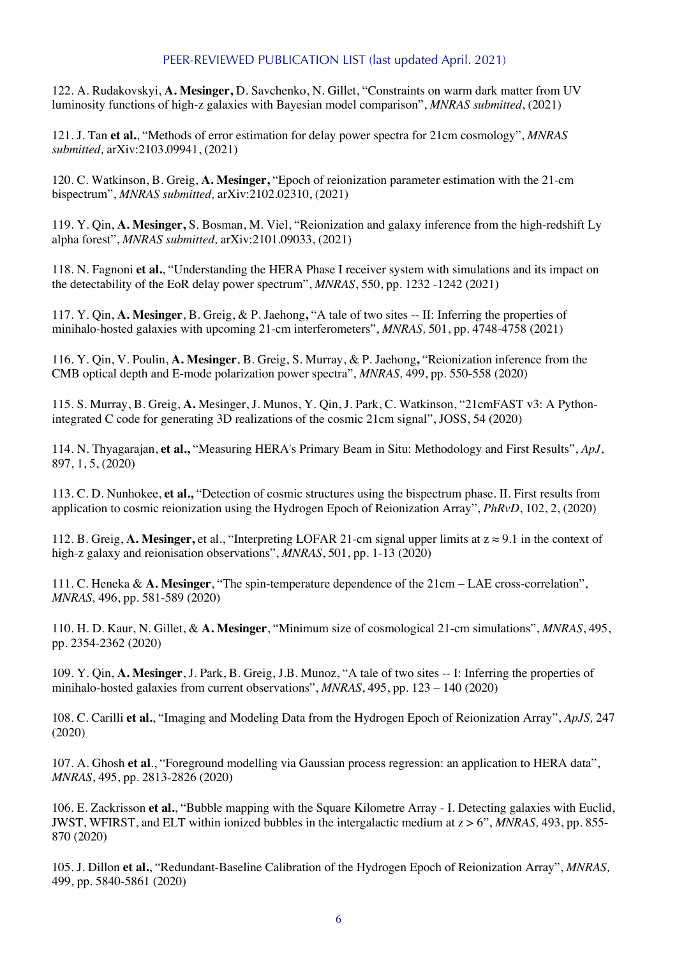### PEER-REVIEWED PUBLICATION LIST (last updated April. 2021)

122. A. Rudakovskyi, **A. Mesinger,** D. Savchenko, N. Gillet, "Constraints on warm dark matter from UV luminosity functions of high-z galaxies with Bayesian model comparison", *MNRAS submitted*, (2021)

121. J. Tan **et al.**, "Methods of error estimation for delay power spectra for 21cm cosmology", *MNRAS submitted,* arXiv:2103.09941, (2021)

120. C. Watkinson, B. Greig, **A. Mesinger,** "Epoch of reionization parameter estimation with the 21-cm bispectrum", *MNRAS submitted,* arXiv:2102.02310, (2021)

119. Y. Qin, **A. Mesinger,** S. Bosman, M. Viel, "Reionization and galaxy inference from the high-redshift Ly alpha forest", *MNRAS submitted,* arXiv:2101.09033, (2021)

118. N. Fagnoni **et al.**, "Understanding the HERA Phase I receiver system with simulations and its impact on the detectability of the EoR delay power spectrum", *MNRAS*, 550, pp. 1232 -1242 (2021)

117. Y. Qin, **A. Mesinger**, B. Greig, & P. Jaehong**,** "A tale of two sites -- II: Inferring the properties of minihalo-hosted galaxies with upcoming 21-cm interferometers", *MNRAS,* 501, pp. 4748-4758 (2021)

116. Y. Qin, V. Poulin, **A. Mesinger**, B. Greig, S. Murray, & P. Jaehong**,** "Reionization inference from the CMB optical depth and E-mode polarization power spectra", *MNRAS,* 499, pp. 550-558 (2020)

115. S. Murray, B. Greig, **A.** Mesinger, J. Munos, Y. Qin, J. Park, C. Watkinson, "21cmFAST v3: A Pythonintegrated C code for generating 3D realizations of the cosmic 21cm signal", JOSS, 54 (2020)

114. N. Thyagarajan, **et al.,** "Measuring HERA's Primary Beam in Situ: Methodology and First Results", *ApJ*, 897, 1, 5, (2020)

113. C. D. Nunhokee, **et al.,** "Detection of cosmic structures using the bispectrum phase. II. First results from application to cosmic reionization using the Hydrogen Epoch of Reionization Array", *PhRvD*, 102, 2, (2020)

112. B. Greig, **A. Mesinger,** et al., "Interpreting LOFAR 21-cm signal upper limits at z ≈ 9.1 in the context of high-z galaxy and reionisation observations", *MNRAS*, 501, pp. 1-13 (2020)

111. C. Heneka & **A. Mesinger**, "The spin-temperature dependence of the 21cm – LAE cross-correlation", *MNRAS,* 496, pp. 581-589 (2020)

110. H. D. Kaur, N. Gillet, & **A. Mesinger**, "Minimum size of cosmological 21-cm simulations", *MNRAS*, 495, pp. 2354-2362 (2020)

109. Y. Qin, **A. Mesinger**, J. Park, B. Greig, J.B. Munoz, "A tale of two sites -- I: Inferring the properties of minihalo-hosted galaxies from current observations", *MNRAS*, 495, pp. 123 – 140 (2020)

108. C. Carilli **et al.**, "Imaging and Modeling Data from the Hydrogen Epoch of Reionization Array", *ApJS,* 247 (2020)

107. A. Ghosh **et al**., "Foreground modelling via Gaussian process regression: an application to HERA data", *MNRAS*, 495, pp. 2813-2826 (2020)

106. E. Zackrisson **et al.**, "Bubble mapping with the Square Kilometre Array - I. Detecting galaxies with Euclid, JWST, WFIRST, and ELT within ionized bubbles in the intergalactic medium at z > 6", *MNRAS,* 493, pp. 855- 870 (2020)

105. J. Dillon **et al.**, "Redundant-Baseline Calibration of the Hydrogen Epoch of Reionization Array", *MNRAS,*  499, pp. 5840-5861 (2020)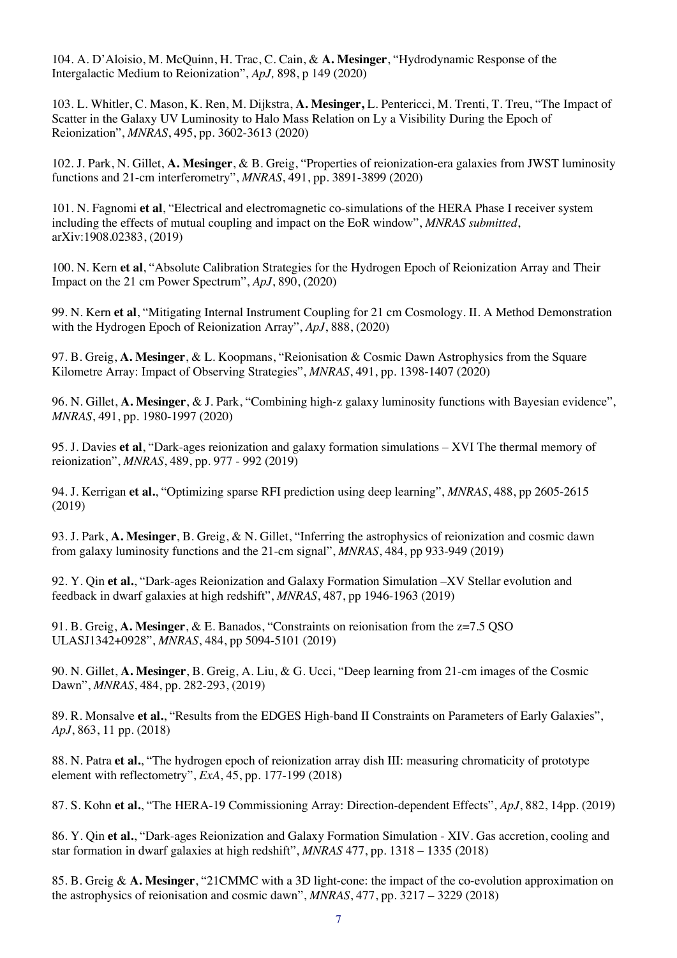104. A. D'Aloisio, M. McQuinn, H. Trac, C. Cain, & **A. Mesinger**, "Hydrodynamic Response of the Intergalactic Medium to Reionization", *ApJ,* 898, p 149 (2020)

103. L. Whitler, C. Mason, K. Ren, M. Dijkstra, **A. Mesinger,** L. Pentericci, M. Trenti, T. Treu, "The Impact of Scatter in the Galaxy UV Luminosity to Halo Mass Relation on Ly a Visibility During the Epoch of Reionization", *MNRAS*, 495, pp. 3602-3613 (2020)

102. J. Park, N. Gillet, **A. Mesinger**, & B. Greig, "Properties of reionization-era galaxies from JWST luminosity functions and 21-cm interferometry", *MNRAS*, 491, pp. 3891-3899 (2020)

101. N. Fagnomi **et al**, "Electrical and electromagnetic co-simulations of the HERA Phase I receiver system including the effects of mutual coupling and impact on the EoR window", *MNRAS submitted*, arXiv:1908.02383, (2019)

100. N. Kern **et al**, "Absolute Calibration Strategies for the Hydrogen Epoch of Reionization Array and Their Impact on the 21 cm Power Spectrum", *ApJ*, 890, (2020)

99. N. Kern **et al**, "Mitigating Internal Instrument Coupling for 21 cm Cosmology. II. A Method Demonstration with the Hydrogen Epoch of Reionization Array", *ApJ*, 888, (2020)

97. B. Greig, **A. Mesinger**, & L. Koopmans, "Reionisation & Cosmic Dawn Astrophysics from the Square Kilometre Array: Impact of Observing Strategies", *MNRAS*, 491, pp. 1398-1407 (2020)

96. N. Gillet, **A. Mesinger**, & J. Park, "Combining high-z galaxy luminosity functions with Bayesian evidence", *MNRAS*, 491, pp. 1980-1997 (2020)

95. J. Davies **et al**, "Dark-ages reionization and galaxy formation simulations – XVI The thermal memory of reionization", *MNRAS*, 489, pp. 977 - 992 (2019)

94. J. Kerrigan **et al.**, "Optimizing sparse RFI prediction using deep learning", *MNRAS*, 488, pp 2605-2615 (2019)

93. J. Park, **A. Mesinger**, B. Greig, & N. Gillet, "Inferring the astrophysics of reionization and cosmic dawn from galaxy luminosity functions and the 21-cm signal", *MNRAS*, 484, pp 933-949 (2019)

92. Y. Qin **et al.**, "Dark-ages Reionization and Galaxy Formation Simulation –XV Stellar evolution and feedback in dwarf galaxies at high redshift", *MNRAS*, 487, pp 1946-1963 (2019)

91. B. Greig, **A. Mesinger**, & E. Banados, "Constraints on reionisation from the z=7.5 QSO ULASJ1342+0928", *MNRAS*, 484, pp 5094-5101 (2019)

90. N. Gillet, **A. Mesinger**, B. Greig, A. Liu, & G. Ucci, "Deep learning from 21-cm images of the Cosmic Dawn", *MNRAS*, 484, pp. 282-293, (2019)

89. R. Monsalve **et al.**, "Results from the EDGES High-band II Constraints on Parameters of Early Galaxies", *ApJ*, 863, 11 pp. (2018)

88. N. Patra **et al.**, "The hydrogen epoch of reionization array dish III: measuring chromaticity of prototype element with reflectometry", *ExA*, 45, pp. 177-199 (2018)

87. S. Kohn **et al.**, "The HERA-19 Commissioning Array: Direction-dependent Effects", *ApJ*, 882, 14pp. (2019)

86. Y. Qin **et al.**, "Dark-ages Reionization and Galaxy Formation Simulation - XIV. Gas accretion, cooling and star formation in dwarf galaxies at high redshift", *MNRAS* 477, pp. 1318 – 1335 (2018)

85. B. Greig & **A. Mesinger**, "21CMMC with a 3D light-cone: the impact of the co-evolution approximation on the astrophysics of reionisation and cosmic dawn", *MNRAS*, 477, pp. 3217 – 3229 (2018)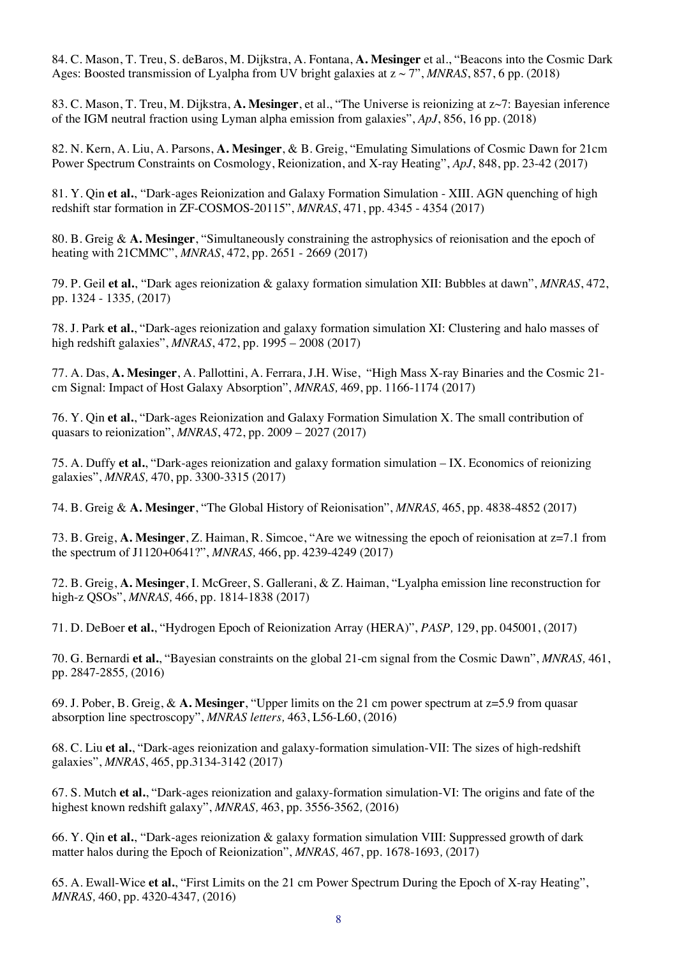84. C. Mason, T. Treu, S. deBaros, M. Dijkstra, A. Fontana, **A. Mesinger** et al., "Beacons into the Cosmic Dark Ages: Boosted transmission of Lyalpha from UV bright galaxies at z ~ 7", *MNRAS*, 857, 6 pp. (2018)

83. C. Mason, T. Treu, M. Dijkstra, **A. Mesinger**, et al., "The Universe is reionizing at z~7: Bayesian inference of the IGM neutral fraction using Lyman alpha emission from galaxies", *ApJ*, 856, 16 pp. (2018)

82. N. Kern, A. Liu, A. Parsons, **A. Mesinger**, & B. Greig, "Emulating Simulations of Cosmic Dawn for 21cm Power Spectrum Constraints on Cosmology, Reionization, and X-ray Heating", *ApJ*, 848, pp. 23-42 (2017)

81. Y. Qin **et al.**, "Dark-ages Reionization and Galaxy Formation Simulation - XIII. AGN quenching of high redshift star formation in ZF-COSMOS-20115", *MNRAS*, 471, pp. 4345 - 4354 (2017)

80. B. Greig & **A. Mesinger**, "Simultaneously constraining the astrophysics of reionisation and the epoch of heating with 21CMMC", *MNRAS*, 472, pp. 2651 - 2669 (2017)

79. P. Geil **et al.**, "Dark ages reionization & galaxy formation simulation XII: Bubbles at dawn", *MNRAS*, 472, pp. 1324 - 1335*,* (2017)

78. J. Park **et al.**, "Dark-ages reionization and galaxy formation simulation XI: Clustering and halo masses of high redshift galaxies", *MNRAS*, 472, pp. 1995 – 2008 (2017)

77. A. Das, **A. Mesinger**, A. Pallottini, A. Ferrara, J.H. Wise, "High Mass X-ray Binaries and the Cosmic 21 cm Signal: Impact of Host Galaxy Absorption", *MNRAS,* 469, pp. 1166-1174 (2017)

76. Y. Qin **et al.**, "Dark-ages Reionization and Galaxy Formation Simulation X. The small contribution of quasars to reionization", *MNRAS*, 472, pp. 2009 – 2027 (2017)

75. A. Duffy **et al.**, "Dark-ages reionization and galaxy formation simulation – IX. Economics of reionizing galaxies", *MNRAS,* 470, pp. 3300-3315 (2017)

74. B. Greig & **A. Mesinger**, "The Global History of Reionisation", *MNRAS,* 465, pp. 4838-4852 (2017)

73. B. Greig, **A. Mesinger**, Z. Haiman, R. Simcoe, "Are we witnessing the epoch of reionisation at z=7.1 from the spectrum of J1120+0641?", *MNRAS,* 466, pp. 4239-4249 (2017)

72. B. Greig, **A. Mesinger**, I. McGreer, S. Gallerani, & Z. Haiman, "Lyalpha emission line reconstruction for high-z QSOs", *MNRAS,* 466, pp. 1814-1838 (2017)

71. D. DeBoer **et al.**, "Hydrogen Epoch of Reionization Array (HERA)", *PASP,* 129, pp. 045001, (2017)

70. G. Bernardi **et al.**, "Bayesian constraints on the global 21-cm signal from the Cosmic Dawn", *MNRAS,* 461, pp. 2847-2855*,* (2016)

69. J. Pober, B. Greig, & **A. Mesinger**, "Upper limits on the 21 cm power spectrum at z=5.9 from quasar absorption line spectroscopy", *MNRAS letters,* 463, L56-L60, (2016)

68. C. Liu **et al.**, "Dark-ages reionization and galaxy-formation simulation-VII: The sizes of high-redshift galaxies", *MNRAS*, 465, pp.3134-3142 (2017)

67. S. Mutch **et al.**, "Dark-ages reionization and galaxy-formation simulation-VI: The origins and fate of the highest known redshift galaxy", *MNRAS,* 463, pp. 3556-3562*,* (2016)

66. Y. Qin **et al.**, "Dark-ages reionization & galaxy formation simulation VIII: Suppressed growth of dark matter halos during the Epoch of Reionization", *MNRAS,* 467, pp. 1678-1693*,* (2017)

65. A. Ewall-Wice **et al.**, "First Limits on the 21 cm Power Spectrum During the Epoch of X-ray Heating", *MNRAS,* 460, pp. 4320-4347*,* (2016)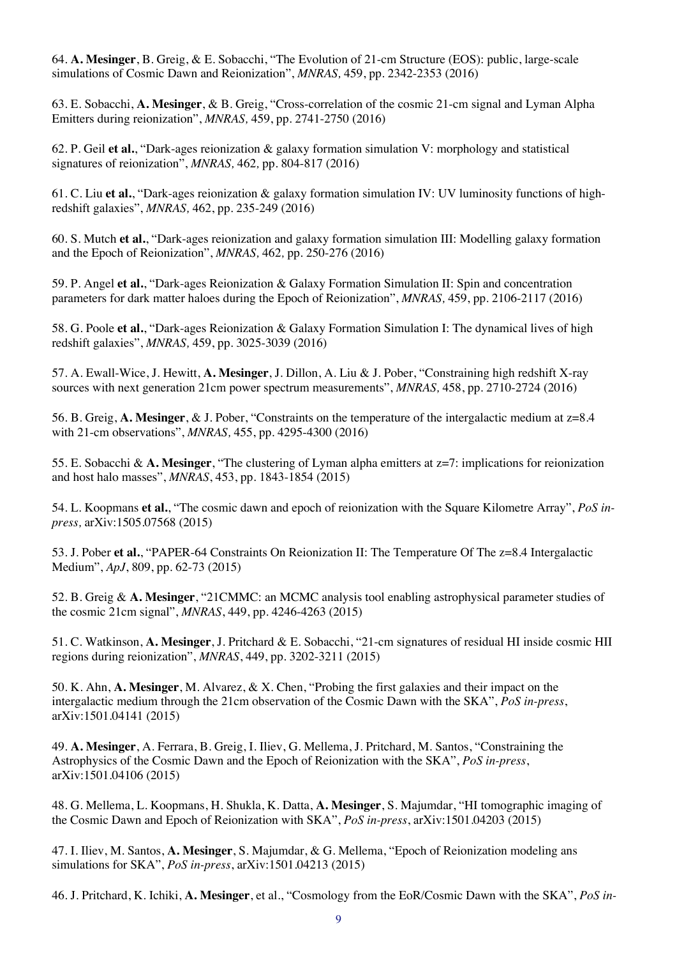64. **A. Mesinger**, B. Greig, & E. Sobacchi, "The Evolution of 21-cm Structure (EOS): public, large-scale simulations of Cosmic Dawn and Reionization", *MNRAS,* 459, pp. 2342-2353 (2016)

63. E. Sobacchi, **A. Mesinger**, & B. Greig, "Cross-correlation of the cosmic 21-cm signal and Lyman Alpha Emitters during reionization", *MNRAS,* 459, pp. 2741-2750 (2016)

62. P. Geil **et al.**, "Dark-ages reionization & galaxy formation simulation V: morphology and statistical signatures of reionization", *MNRAS,* 462*,* pp. 804-817 (2016)

61. C. Liu **et al.**, "Dark-ages reionization & galaxy formation simulation IV: UV luminosity functions of highredshift galaxies", *MNRAS,* 462, pp. 235-249 (2016)

60. S. Mutch **et al.**, "Dark-ages reionization and galaxy formation simulation III: Modelling galaxy formation and the Epoch of Reionization", *MNRAS,* 462*,* pp. 250-276 (2016)

59. P. Angel **et al.**, "Dark-ages Reionization & Galaxy Formation Simulation II: Spin and concentration parameters for dark matter haloes during the Epoch of Reionization", *MNRAS,* 459, pp. 2106-2117 (2016)

58. G. Poole **et al.**, "Dark-ages Reionization & Galaxy Formation Simulation I: The dynamical lives of high redshift galaxies", *MNRAS,* 459, pp. 3025-3039 (2016)

57. A. Ewall-Wice, J. Hewitt, **A. Mesinger**, J. Dillon, A. Liu & J. Pober, "Constraining high redshift X-ray sources with next generation 21cm power spectrum measurements", *MNRAS,* 458, pp. 2710-2724 (2016)

56. B. Greig, **A. Mesinger**, & J. Pober, "Constraints on the temperature of the intergalactic medium at z=8.4 with 21-cm observations", *MNRAS,* 455, pp. 4295-4300 (2016)

55. E. Sobacchi & **A. Mesinger**, "The clustering of Lyman alpha emitters at z=7: implications for reionization and host halo masses", *MNRAS*, 453, pp. 1843-1854 (2015)

54. L. Koopmans **et al.**, "The cosmic dawn and epoch of reionization with the Square Kilometre Array", *PoS inpress,* arXiv:1505.07568 (2015)

53. J. Pober **et al.**, "PAPER-64 Constraints On Reionization II: The Temperature Of The z=8.4 Intergalactic Medium", *ApJ*, 809, pp. 62-73 (2015)

52. B. Greig & **A. Mesinger**, "21CMMC: an MCMC analysis tool enabling astrophysical parameter studies of the cosmic 21cm signal", *MNRAS*, 449, pp. 4246-4263 (2015)

51. C. Watkinson, **A. Mesinger**, J. Pritchard & E. Sobacchi, "21-cm signatures of residual HI inside cosmic HII regions during reionization", *MNRAS*, 449, pp. 3202-3211 (2015)

50. K. Ahn, **A. Mesinger**, M. Alvarez, & X. Chen, "Probing the first galaxies and their impact on the intergalactic medium through the 21cm observation of the Cosmic Dawn with the SKA", *PoS in-press*, arXiv:1501.04141 (2015)

49. **A. Mesinger**, A. Ferrara, B. Greig, I. Iliev, G. Mellema, J. Pritchard, M. Santos, "Constraining the Astrophysics of the Cosmic Dawn and the Epoch of Reionization with the SKA", *PoS in-press*, arXiv:1501.04106 (2015)

48. G. Mellema, L. Koopmans, H. Shukla, K. Datta, **A. Mesinger**, S. Majumdar, "HI tomographic imaging of the Cosmic Dawn and Epoch of Reionization with SKA", *PoS in-press*, arXiv:1501.04203 (2015)

47. I. Iliev, M. Santos, **A. Mesinger**, S. Majumdar, & G. Mellema, "Epoch of Reionization modeling ans simulations for SKA", *PoS in-press*, arXiv:1501.04213 (2015)

46. J. Pritchard, K. Ichiki, **A. Mesinger**, et al., "Cosmology from the EoR/Cosmic Dawn with the SKA", *PoS in-*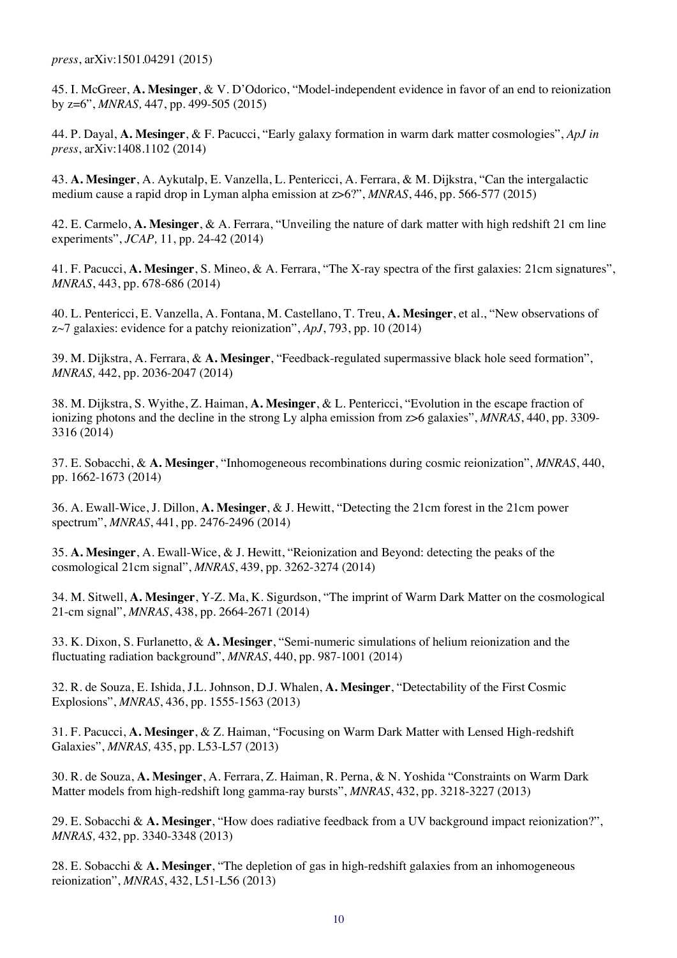*press*, arXiv:1501.04291 (2015)

45. I. McGreer, **A. Mesinger**, & V. D'Odorico, "Model-independent evidence in favor of an end to reionization by z=6", *MNRAS,* 447, pp. 499-505 (2015)

44. P. Dayal, **A. Mesinger**, & F. Pacucci, "Early galaxy formation in warm dark matter cosmologies", *ApJ in press*, arXiv:1408.1102 (2014)

43. **A. Mesinger**, A. Aykutalp, E. Vanzella, L. Pentericci, A. Ferrara, & M. Dijkstra, "Can the intergalactic medium cause a rapid drop in Lyman alpha emission at z>6?", *MNRAS*, 446, pp. 566-577 (2015)

42. E. Carmelo, **A. Mesinger**, & A. Ferrara, "Unveiling the nature of dark matter with high redshift 21 cm line experiments", *JCAP,* 11, pp. 24-42 (2014)

41. F. Pacucci, **A. Mesinger**, S. Mineo, & A. Ferrara, "The X-ray spectra of the first galaxies: 21cm signatures", *MNRAS*, 443, pp. 678-686 (2014)

40. L. Pentericci, E. Vanzella, A. Fontana, M. Castellano, T. Treu, **A. Mesinger**, et al., "New observations of z~7 galaxies: evidence for a patchy reionization", *ApJ*, 793, pp. 10 (2014)

39. M. Dijkstra, A. Ferrara, & **A. Mesinger**, "Feedback-regulated supermassive black hole seed formation", *MNRAS,* 442, pp. 2036-2047 (2014)

38. M. Dijkstra, S. Wyithe, Z. Haiman, **A. Mesinger**, & L. Pentericci, "Evolution in the escape fraction of ionizing photons and the decline in the strong Ly alpha emission from z>6 galaxies", *MNRAS*, 440, pp. 3309- 3316 (2014)

37. E. Sobacchi, & **A. Mesinger**, "Inhomogeneous recombinations during cosmic reionization", *MNRAS*, 440, pp. 1662-1673 (2014)

36. A. Ewall-Wice, J. Dillon, **A. Mesinger**, & J. Hewitt, "Detecting the 21cm forest in the 21cm power spectrum", *MNRAS*, 441, pp. 2476-2496 (2014)

35. **A. Mesinger**, A. Ewall-Wice, & J. Hewitt, "Reionization and Beyond: detecting the peaks of the cosmological 21cm signal", *MNRAS*, 439, pp. 3262-3274 (2014)

34. M. Sitwell, **A. Mesinger**, Y-Z. Ma, K. Sigurdson, "The imprint of Warm Dark Matter on the cosmological 21-cm signal", *MNRAS*, 438, pp. 2664-2671 (2014)

33. K. Dixon, S. Furlanetto, & **A. Mesinger**, "Semi-numeric simulations of helium reionization and the fluctuating radiation background", *MNRAS*, 440, pp. 987-1001 (2014)

32. R. de Souza, E. Ishida, J.L. Johnson, D.J. Whalen, **A. Mesinger**, "Detectability of the First Cosmic Explosions", *MNRAS*, 436, pp. 1555-1563 (2013)

31. F. Pacucci, **A. Mesinger**, & Z. Haiman, "Focusing on Warm Dark Matter with Lensed High-redshift Galaxies", *MNRAS,* 435, pp. L53-L57 (2013)

30. R. de Souza, **A. Mesinger**, A. Ferrara, Z. Haiman, R. Perna, & N. Yoshida "Constraints on Warm Dark Matter models from high-redshift long gamma-ray bursts", *MNRAS*, 432, pp. 3218-3227 (2013)

29. E. Sobacchi & **A. Mesinger**, "How does radiative feedback from a UV background impact reionization?", *MNRAS,* 432, pp. 3340-3348 (2013)

28. E. Sobacchi & **A. Mesinger**, "The depletion of gas in high-redshift galaxies from an inhomogeneous reionization", *MNRAS*, 432, L51-L56 (2013)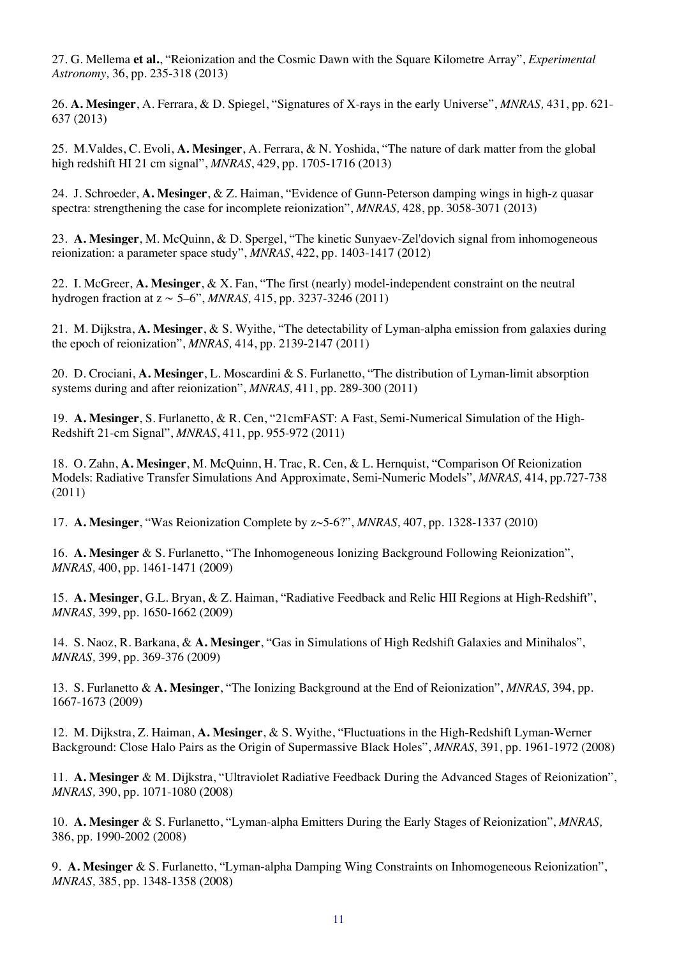27. G. Mellema **et al.**, "Reionization and the Cosmic Dawn with the Square Kilometre Array", *Experimental Astronomy,* 36, pp. 235-318 (2013)

26. **A. Mesinger**, A. Ferrara, & D. Spiegel, "Signatures of X-rays in the early Universe", *MNRAS,* 431, pp. 621- 637 (2013)

25. M.Valdes, C. Evoli, **A. Mesinger**, A. Ferrara, & N. Yoshida, "The nature of dark matter from the global high redshift HI 21 cm signal", *MNRAS*, 429, pp. 1705-1716 (2013)

24. J. Schroeder, **A. Mesinger**, & Z. Haiman, "Evidence of Gunn-Peterson damping wings in high-z quasar spectra: strengthening the case for incomplete reionization", *MNRAS,* 428, pp. 3058-3071 (2013)

23. **A. Mesinger**, M. McQuinn, & D. Spergel, "The kinetic Sunyaev-Zel'dovich signal from inhomogeneous reionization: a parameter space study", *MNRAS*, 422, pp. 1403-1417 (2012)

22. I. McGreer, **A. Mesinger**, & X. Fan, "The first (nearly) model-independent constraint on the neutral hydrogen fraction at z ∼ 5–6", *MNRAS,* 415, pp. 3237-3246 (2011)

21. M. Dijkstra, **A. Mesinger**, & S. Wyithe, "The detectability of Lyman-alpha emission from galaxies during the epoch of reionization", *MNRAS,* 414, pp. 2139-2147 (2011)

20. D. Crociani, **A. Mesinger**, L. Moscardini & S. Furlanetto, "The distribution of Lyman-limit absorption systems during and after reionization", *MNRAS,* 411, pp. 289-300 (2011)

19. **A. Mesinger**, S. Furlanetto, & R. Cen, "21cmFAST: A Fast, Semi-Numerical Simulation of the High-Redshift 21-cm Signal", *MNRAS*, 411, pp. 955-972 (2011)

18. O. Zahn, **A. Mesinger**, M. McQuinn, H. Trac, R. Cen, & L. Hernquist, "Comparison Of Reionization Models: Radiative Transfer Simulations And Approximate, Semi-Numeric Models", *MNRAS,* 414, pp.727-738 (2011)

17. **A. Mesinger**, "Was Reionization Complete by z~5-6?", *MNRAS,* 407, pp. 1328-1337 (2010)

16. **A. Mesinger** & S. Furlanetto, "The Inhomogeneous Ionizing Background Following Reionization", *MNRAS,* 400, pp. 1461-1471 (2009)

15. **A. Mesinger**, G.L. Bryan, & Z. Haiman, "Radiative Feedback and Relic HII Regions at High-Redshift", *MNRAS,* 399, pp. 1650-1662 (2009)

14. S. Naoz, R. Barkana, & **A. Mesinger**, "Gas in Simulations of High Redshift Galaxies and Minihalos", *MNRAS,* 399, pp. 369-376 (2009)

13. S. Furlanetto & **A. Mesinger**, "The Ionizing Background at the End of Reionization", *MNRAS,* 394, pp. 1667-1673 (2009)

12. M. Dijkstra, Z. Haiman, **A. Mesinger**, & S. Wyithe, "Fluctuations in the High-Redshift Lyman-Werner Background: Close Halo Pairs as the Origin of Supermassive Black Holes", *MNRAS,* 391, pp. 1961-1972 (2008)

11. **A. Mesinger** & M. Dijkstra, "Ultraviolet Radiative Feedback During the Advanced Stages of Reionization", *MNRAS,* 390, pp. 1071-1080 (2008)

10. **A. Mesinger** & S. Furlanetto, "Lyman-alpha Emitters During the Early Stages of Reionization", *MNRAS,*  386, pp. 1990-2002 (2008)

9. **A. Mesinger** & S. Furlanetto, "Lyman-alpha Damping Wing Constraints on Inhomogeneous Reionization", *MNRAS,* 385, pp. 1348-1358 (2008)